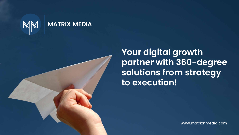

### **MATRIX MEDIA**

**Your digital growth partner with 360-degree solutions from strategy to execution!**

www.matrixnmedia.com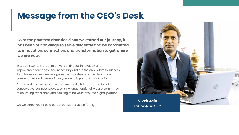# Message from the CEO's Desk

**Over the past two decades since we started our journey, it has been our privilege to serve diligently and be committed to innovation, connection, and transformation to get where we are now.**

In today's world, in order to thrive, continuous innovation and improvement are absolutely necessary and are the only pillars to success. To achieve success, we recognise the importance of the dedication, commitment, and efforts of everyone who is part of Matrix Media.

As the world ushers into an era where the digital transformation of conservative business processes is no longer optional, we are committed to delivering excellence and aspiring to be your favourite digital partner.

We welcome you to be a part of our Matrix Media family!



**Founder & CEO**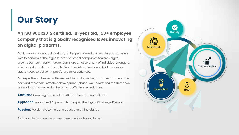**An ISO 9001:2015 certified, 18-year old, 150+ employee company that is globally recognised loves innovating on digital platforms.** 

Our Mondays are not dull and lazy, but supercharged and exciting.Matrix teams love to perform at the highest levels to propel companies towards digital growth. Our technically mature teams are an assortment of individual strengths, talents, and ambitions. The collective chemistry of unique individuals drives Matrix Media to deliver impactful digital experiences.

Our expertise in diverse platforms and technologies helps us to recommend the best and most cost-effective development phase. We understand the demands of the global market, which helps us to offer trusted solutions.

Attitude: A winning and resolute attitude to do the unthinkable.

Approach: An Inspired Approach to conquer the Digital Challenge Passion.

**Passion:** Passionate to the bone about everything digital.

## Our Story

Be it our clients or our team members, we love happy faces!

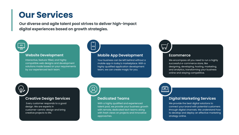### Our Services

#### **Website Development**

Interactive, feature-filled, and highly compatible web designs and development solutions made based on your requirements by our experienced tech team.

#### **Mobile App Development**

Your business can be left behind without a mobile app in today's marketplace. With a highly qualified application development team, we can create magic for you.

 $\Omega'$ 

#### **Dedicated Teams**

With a highly qualified and experienced talent pool, we provide your business growth with remote, dedicated tech teams along with fresh views on projects and innovative approaches.

### **Digital Marketing Services**

We provide the best digital solutions to connect your brand with potential customers through digital channels. We understand how to develop and deploy an effective marketing strategy online.

**Our diverse and agile talent pool strives to deliver high-impact digital experiences based on growth strategies.** 

### $\frac{4}{1}$

#### **Ecommerce**

We encompass all you need to run a highly successful e-commerce store, like designing, developing, hosting, marketing, and analytics, transforming your business online and staying competitive.

#### **Creative Design Services**

 Every customer responds to a good design. We are experts in customer-centric design and bring creative projects to life.



 $\langle I \rangle$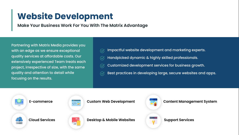- 
- 
- 
- Best practices in developing large, secure websites and apps.



**Make Your Business Work For You With The Matrix Advantage**

## Website Development

Partnering with Matrix Media provides you with an edge as we ensure exceptional quality services at affordable costs. Our extensively experienced Team treats each project, irrespective of size, with the same quality and attention to detail while focusing on the results.

Impactful website development and marketing experts.  $\ddot{\vee}$ Handpicked dynamic & highly skilled professionals. Customized development services for business growth.  $\ddot{\vee}$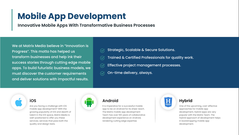Strategic, Scalable & Secure Solutions. Trained & Certified Professionals for quality work. Effective project management processes. On-time delivery, always.



**Innovative Mobile Apps With Transformative Business Processes**

## Mobile App Development

We at Matrix Media believe in "Innovation is Progress". This motto has helped us transform businesses and help ink their success stories through cutting edge mobile apps. To build futuristic business models, we must discover the customer requirements and deliver solutions with impactful results.

### **Android**

Are you facing a challenge with iOS mobile app development? With the growing popularity of iOS and dearth of talent in the iOS space, Matrix Media is well-positioned to offer you these services; services that pass both the quality and design tests.

It is imperative for a successful mobile app to be on Android for its sheer reach. The Matrix mobile app development Team has over 100 years of collaborative development experience on Android, rendering cutting edge expertise.

- 
- 
- 



One of the upcoming, cost-effective approaches for mobile app development, Hybrid apps are very popular with the Matrix Team. The Hybrid approach of development helps in bootstrapping mobile app development.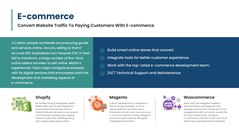### **Shopify**

As certified Shopify Developers, Matrix Media offers end-to-end integration and development services with all Shopify features. We work on all versions and have been actively encouraging clients to automate marketing along with unique upsell opportunities.



### **Magento**

Custom development on Magento is one of our key strengths, as it is a robust platform, and there are no limitations on how much you can do on it. If you are already running a Magento store and require services alongside marketing interventions.

- 
- 
- 
- 



#### **Woocommerce**

Apart from the integration aspects, WooCommerce management and ongoing services form a large part of our engagements with our clients. usually the de-facto choice when moving to e-commerce, and that is how most of our clients have expanded their businesses.

Build smart online stores that convert. Integrate tools for better customer experience. Work with the top-rated e-commerce development team. 24/7 Technical Support and Maintenance.



**Convert Website Traffic To Paying Customers With E-commerce**

### E-commerce

2.2 billion people worldwide are procuring goods and services online. Are you selling to them? As most B2C businesses turn towards D2C in their bid to transform, a large number of first-time online sellers are keen to sell online. Matrix's experienced Team helps navigate businesses with its digital services that encompass both the development and marketing aspects of e-commerce.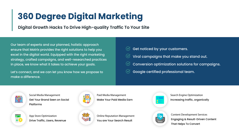**Digital Growth Hacks To Drive High-quality Traffic To Your Site**

# 360 Degree Digital Marketing

Our team of experts and our planned, holistic approach ensure that Matrix provides the right solutions to help you excel in the digital world. Equipped with the right marketing strategy, crafted campaigns, and well-researched practices in place, we know what it takes to achieve your goals.

Let's connect, and we can let you know how we propose to make a difference.

| Get noticed by                     |
|------------------------------------|
| $\mathbb G$ Viral campaig          |
| $\sqrt{\mathcal{C}}$ Conversion op |
| Google certifie                    |



**Social Media Management** Get Your Brand Seen on Social Platforms



**Paid Media Management** Make Your Paid Media Earn



**App Store Optimization** Drive Traffic, Users, Revenue



**Online Reputation Management** You are Your Search Result





- your customers.
- Ins that make you stand out.
- otimization solutions for campaigns.
- ed professional team.

**Content Development Services** Engaging & Result-Driven Content That Helps To Convert

**Search Engine Optimization** Increasing traffic, organically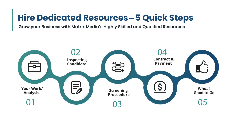

# **Hire Dedicated Resources - 5 Quick Steps**

**Grow your Business with Matrix Media's Highly Skilled and Qualified Resources**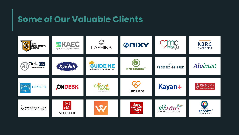### Some of Our Valuable Clients

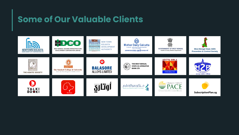### Some of Our Valuable Clients